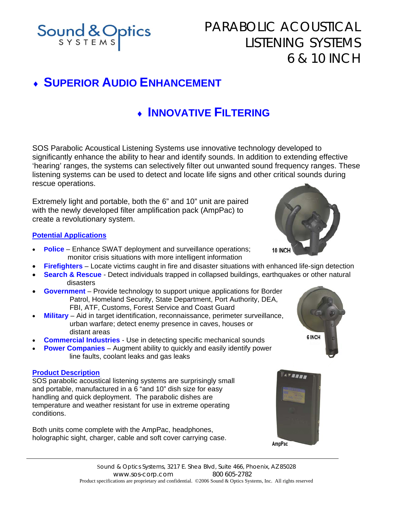

# PARABOLIC ACOUSTICAL LISTENING SYSTEMS 6 & 10 INCH

# ♦ **SUPERIOR AUDIO ENHANCEMENT**

## ♦ **INNOVATIVE FILTERING**

SOS Parabolic Acoustical Listening Systems use innovative technology developed to significantly enhance the ability to hear and identify sounds. In addition to extending effective 'hearing' ranges, the systems can selectively filter out unwanted sound frequency ranges. These listening systems can be used to detect and locate life signs and other critical sounds during rescue operations.

Extremely light and portable, both the 6" and 10" unit are paired with the newly developed filter amplification pack (AmpPac) to create a revolutionary system.

### **Potential Applications**

- **Police**  Enhance SWAT deployment and surveillance operations; monitor crisis situations with more intelligent information
- **Firefighters** Locate victims caught in fire and disaster situations with enhanced life-sign detection
- **Search & Rescue** Detect individuals trapped in collapsed buildings, earthquakes or other natural disasters
- **Government** Provide technology to support unique applications for Border Patrol, Homeland Security, State Department, Port Authority, DEA, FBI, ATF, Customs, Forest Service and Coast Guard
- **Military** Aid in target identification, reconnaissance, perimeter surveillance, urban warfare; detect enemy presence in caves, houses or distant areas
- **Commercial Industries** Use in detecting specific mechanical sounds
- **Power Companies** Augment ability to quickly and easily identify power line faults, coolant leaks and gas leaks

#### **Product Description**

SOS parabolic acoustical listening systems are surprisingly small and portable, manufactured in a 6 "and 10" dish size for easy handling and quick deployment. The parabolic dishes are temperature and weather resistant for use in extreme operating conditions.

Both units come complete with the AmpPac, headphones, holographic sight, charger, cable and soft cover carrying case.